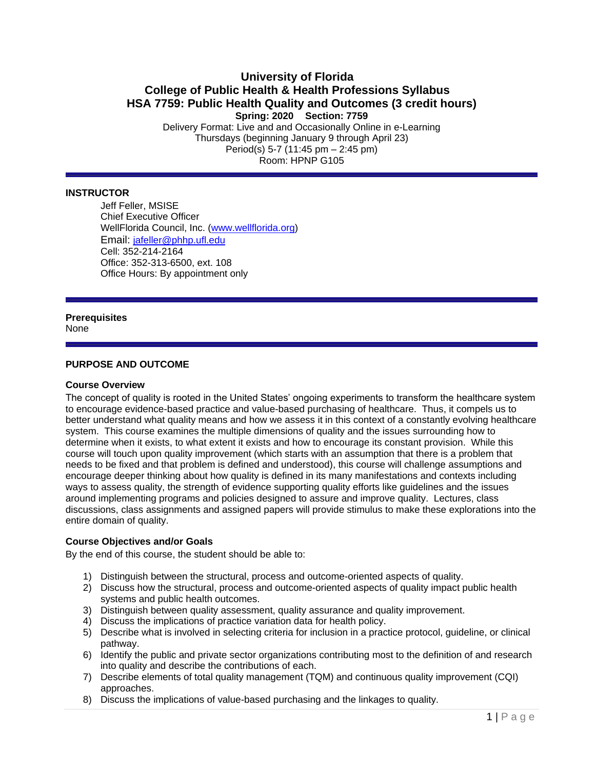# **University of Florida College of Public Health & Health Professions Syllabus HSA 7759: Public Health Quality and Outcomes (3 credit hours) Spring: 2020 Section: 7759**

Delivery Format: Live and and Occasionally Online in e-Learning Thursdays (beginning January 9 through April 23) Period(s) 5-7 (11:45 pm – 2:45 pm) Room: HPNP G105

## **INSTRUCTOR**

Jeff Feller, MSISE Chief Executive Officer WellFlorida Council, Inc. [\(www.wellflorida.org\)](http://www.wellflorida.org/) Email: [jafeller@phhp.ufl.edu](mailto:jafeller@phhp.ufl.edu) Cell: 352-214-2164 Office: 352-313-6500, ext. 108 Office Hours: By appointment only

# **Prerequisites**

**None** 

## **PURPOSE AND OUTCOME**

### **Course Overview**

The concept of quality is rooted in the United States' ongoing experiments to transform the healthcare system to encourage evidence-based practice and value-based purchasing of healthcare. Thus, it compels us to better understand what quality means and how we assess it in this context of a constantly evolving healthcare system. This course examines the multiple dimensions of quality and the issues surrounding how to determine when it exists, to what extent it exists and how to encourage its constant provision. While this course will touch upon quality improvement (which starts with an assumption that there is a problem that needs to be fixed and that problem is defined and understood), this course will challenge assumptions and encourage deeper thinking about how quality is defined in its many manifestations and contexts including ways to assess quality, the strength of evidence supporting quality efforts like guidelines and the issues around implementing programs and policies designed to assure and improve quality. Lectures, class discussions, class assignments and assigned papers will provide stimulus to make these explorations into the entire domain of quality.

### **Course Objectives and/or Goals**

By the end of this course, the student should be able to:

- 1) Distinguish between the structural, process and outcome-oriented aspects of quality.
- 2) Discuss how the structural, process and outcome-oriented aspects of quality impact public health systems and public health outcomes.
- 3) Distinguish between quality assessment, quality assurance and quality improvement.
- 4) Discuss the implications of practice variation data for health policy.
- 5) Describe what is involved in selecting criteria for inclusion in a practice protocol, guideline, or clinical pathway.
- 6) Identify the public and private sector organizations contributing most to the definition of and research into quality and describe the contributions of each.
- 7) Describe elements of total quality management (TQM) and continuous quality improvement (CQI) approaches.
- 8) Discuss the implications of value-based purchasing and the linkages to quality.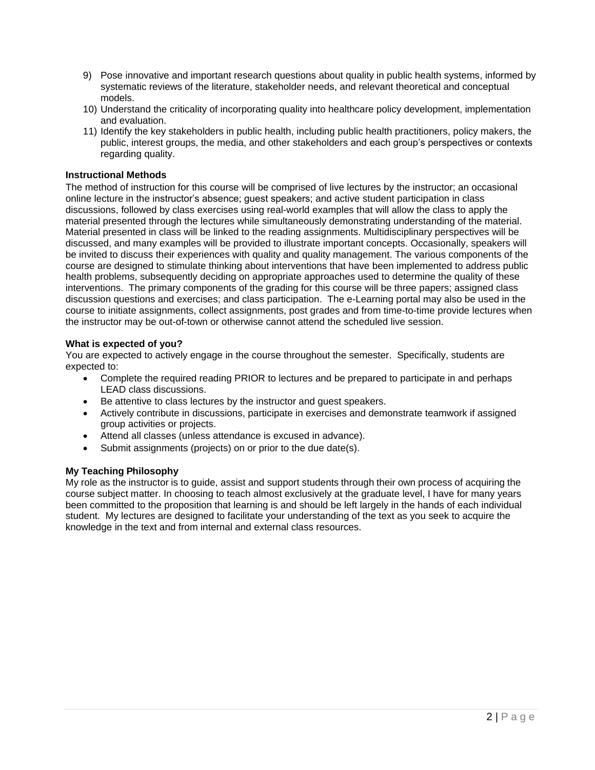- 9) Pose innovative and important research questions about quality in public health systems, informed by systematic reviews of the literature, stakeholder needs, and relevant theoretical and conceptual models.
- 10) Understand the criticality of incorporating quality into healthcare policy development, implementation and evaluation.
- 11) Identify the key stakeholders in public health, including public health practitioners, policy makers, the public, interest groups, the media, and other stakeholders and each group's perspectives or contexts regarding quality.

# **Instructional Methods**

The method of instruction for this course will be comprised of live lectures by the instructor; an occasional online lecture in the instructor's absence; guest speakers; and active student participation in class discussions, followed by class exercises using real-world examples that will allow the class to apply the material presented through the lectures while simultaneously demonstrating understanding of the material. Material presented in class will be linked to the reading assignments. Multidisciplinary perspectives will be discussed, and many examples will be provided to illustrate important concepts. Occasionally, speakers will be invited to discuss their experiences with quality and quality management. The various components of the course are designed to stimulate thinking about interventions that have been implemented to address public health problems, subsequently deciding on appropriate approaches used to determine the quality of these interventions. The primary components of the grading for this course will be three papers; assigned class discussion questions and exercises; and class participation. The e-Learning portal may also be used in the course to initiate assignments, collect assignments, post grades and from time-to-time provide lectures when the instructor may be out-of-town or otherwise cannot attend the scheduled live session.

## **What is expected of you?**

You are expected to actively engage in the course throughout the semester. Specifically, students are expected to:

- Complete the required reading PRIOR to lectures and be prepared to participate in and perhaps LEAD class discussions.
- Be attentive to class lectures by the instructor and guest speakers.
- Actively contribute in discussions, participate in exercises and demonstrate teamwork if assigned group activities or projects.
- Attend all classes (unless attendance is excused in advance).
- Submit assignments (projects) on or prior to the due date(s).

### **My Teaching Philosophy**

My role as the instructor is to guide, assist and support students through their own process of acquiring the course subject matter. In choosing to teach almost exclusively at the graduate level, I have for many years been committed to the proposition that learning is and should be left largely in the hands of each individual student. My lectures are designed to facilitate your understanding of the text as you seek to acquire the knowledge in the text and from internal and external class resources.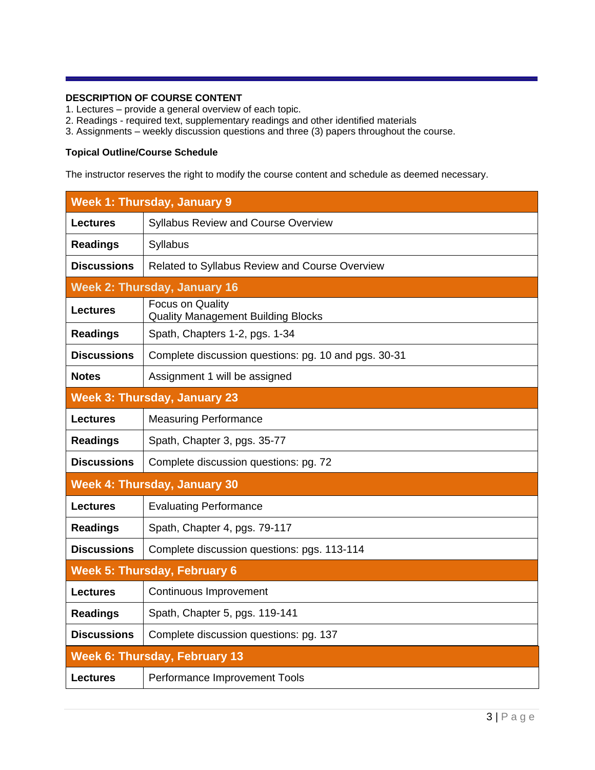# **DESCRIPTION OF COURSE CONTENT**

- 1. Lectures provide a general overview of each topic.
- 2. Readings required text, supplementary readings and other identified materials
- 3. Assignments weekly discussion questions and three (3) papers throughout the course.

# **Topical Outline/Course Schedule**

The instructor reserves the right to modify the course content and schedule as deemed necessary.

|                    | <b>Week 1: Thursday, January 9</b>                            |
|--------------------|---------------------------------------------------------------|
| <b>Lectures</b>    | Syllabus Review and Course Overview                           |
| <b>Readings</b>    | Syllabus                                                      |
| <b>Discussions</b> | Related to Syllabus Review and Course Overview                |
|                    | <b>Week 2: Thursday, January 16</b>                           |
| <b>Lectures</b>    | Focus on Quality<br><b>Quality Management Building Blocks</b> |
| <b>Readings</b>    | Spath, Chapters 1-2, pgs. 1-34                                |
| <b>Discussions</b> | Complete discussion questions: pg. 10 and pgs. 30-31          |
| <b>Notes</b>       | Assignment 1 will be assigned                                 |
|                    | <b>Week 3: Thursday, January 23</b>                           |
| <b>Lectures</b>    | <b>Measuring Performance</b>                                  |
| <b>Readings</b>    | Spath, Chapter 3, pgs. 35-77                                  |
| <b>Discussions</b> | Complete discussion questions: pg. 72                         |
|                    | <b>Week 4: Thursday, January 30</b>                           |
| <b>Lectures</b>    | <b>Evaluating Performance</b>                                 |
| <b>Readings</b>    | Spath, Chapter 4, pgs. 79-117                                 |
| <b>Discussions</b> | Complete discussion questions: pgs. 113-114                   |
|                    | <b>Week 5: Thursday, February 6</b>                           |
| <b>Lectures</b>    | Continuous Improvement                                        |
| <b>Readings</b>    | Spath, Chapter 5, pgs. 119-141                                |
| <b>Discussions</b> | Complete discussion questions: pg. 137                        |
|                    | <b>Week 6: Thursday, February 13</b>                          |
| <b>Lectures</b>    | Performance Improvement Tools                                 |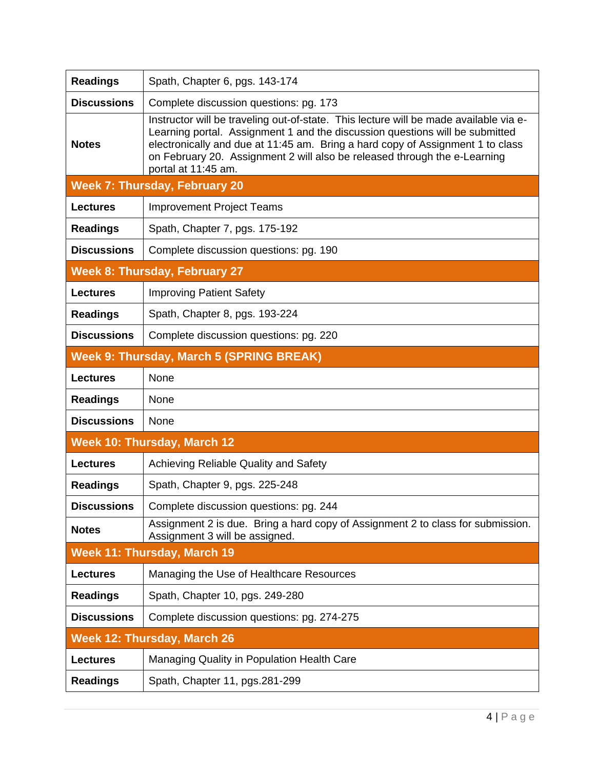| <b>Readings</b>    | Spath, Chapter 6, pgs. 143-174                                                                                                                                                                                                                                                                                                                              |
|--------------------|-------------------------------------------------------------------------------------------------------------------------------------------------------------------------------------------------------------------------------------------------------------------------------------------------------------------------------------------------------------|
| <b>Discussions</b> | Complete discussion questions: pg. 173                                                                                                                                                                                                                                                                                                                      |
| <b>Notes</b>       | Instructor will be traveling out-of-state. This lecture will be made available via e-<br>Learning portal. Assignment 1 and the discussion questions will be submitted<br>electronically and due at 11:45 am. Bring a hard copy of Assignment 1 to class<br>on February 20. Assignment 2 will also be released through the e-Learning<br>portal at 11:45 am. |
|                    | <b>Week 7: Thursday, February 20</b>                                                                                                                                                                                                                                                                                                                        |
| <b>Lectures</b>    | <b>Improvement Project Teams</b>                                                                                                                                                                                                                                                                                                                            |
| <b>Readings</b>    | Spath, Chapter 7, pgs. 175-192                                                                                                                                                                                                                                                                                                                              |
| <b>Discussions</b> | Complete discussion questions: pg. 190                                                                                                                                                                                                                                                                                                                      |
|                    | <b>Week 8: Thursday, February 27</b>                                                                                                                                                                                                                                                                                                                        |
| <b>Lectures</b>    | <b>Improving Patient Safety</b>                                                                                                                                                                                                                                                                                                                             |
| <b>Readings</b>    | Spath, Chapter 8, pgs. 193-224                                                                                                                                                                                                                                                                                                                              |
| <b>Discussions</b> | Complete discussion questions: pg. 220                                                                                                                                                                                                                                                                                                                      |
|                    | <b>Week 9: Thursday, March 5 (SPRING BREAK)</b>                                                                                                                                                                                                                                                                                                             |
| <b>Lectures</b>    | None                                                                                                                                                                                                                                                                                                                                                        |
| <b>Readings</b>    | None                                                                                                                                                                                                                                                                                                                                                        |
| <b>Discussions</b> | None                                                                                                                                                                                                                                                                                                                                                        |
|                    | <b>Week 10: Thursday, March 12</b>                                                                                                                                                                                                                                                                                                                          |
| <b>Lectures</b>    | Achieving Reliable Quality and Safety                                                                                                                                                                                                                                                                                                                       |
| <b>Readings</b>    | Spath, Chapter 9, pgs. 225-248                                                                                                                                                                                                                                                                                                                              |
| <b>Discussions</b> | Complete discussion questions: pg. 244                                                                                                                                                                                                                                                                                                                      |
| <b>Notes</b>       | Assignment 2 is due. Bring a hard copy of Assignment 2 to class for submission.<br>Assignment 3 will be assigned.                                                                                                                                                                                                                                           |
|                    | <b>Week 11: Thursday, March 19</b>                                                                                                                                                                                                                                                                                                                          |
| <b>Lectures</b>    | Managing the Use of Healthcare Resources                                                                                                                                                                                                                                                                                                                    |
| <b>Readings</b>    | Spath, Chapter 10, pgs. 249-280                                                                                                                                                                                                                                                                                                                             |
| <b>Discussions</b> | Complete discussion questions: pg. 274-275                                                                                                                                                                                                                                                                                                                  |
|                    | <b>Week 12: Thursday, March 26</b>                                                                                                                                                                                                                                                                                                                          |
| <b>Lectures</b>    | <b>Managing Quality in Population Health Care</b>                                                                                                                                                                                                                                                                                                           |
| <b>Readings</b>    | Spath, Chapter 11, pgs.281-299                                                                                                                                                                                                                                                                                                                              |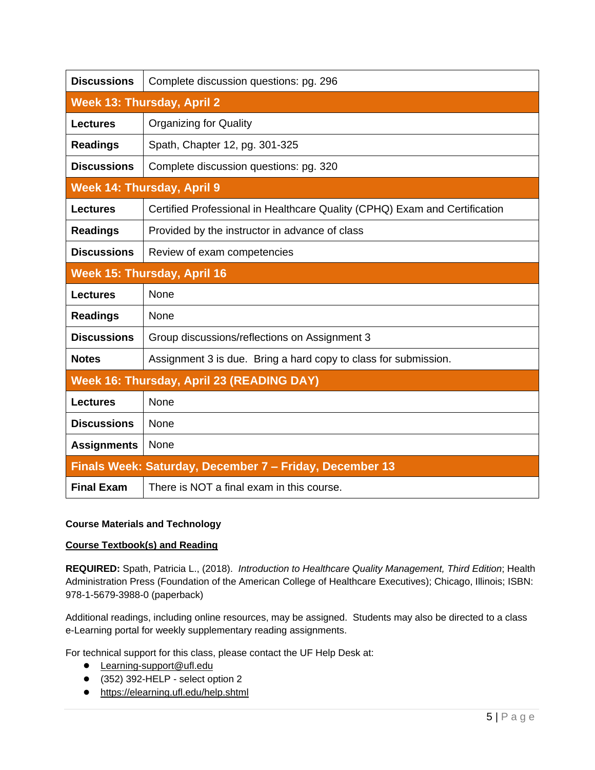| <b>Discussions</b>          | Complete discussion questions: pg. 296                                     |  |  |  |  |  |  |
|-----------------------------|----------------------------------------------------------------------------|--|--|--|--|--|--|
|                             | <b>Week 13: Thursday, April 2</b>                                          |  |  |  |  |  |  |
| <b>Lectures</b>             | <b>Organizing for Quality</b>                                              |  |  |  |  |  |  |
| <b>Readings</b>             | Spath, Chapter 12, pg. 301-325                                             |  |  |  |  |  |  |
| <b>Discussions</b>          | Complete discussion questions: pg. 320                                     |  |  |  |  |  |  |
|                             | <b>Week 14: Thursday, April 9</b>                                          |  |  |  |  |  |  |
| <b>Lectures</b>             | Certified Professional in Healthcare Quality (CPHQ) Exam and Certification |  |  |  |  |  |  |
| <b>Readings</b>             | Provided by the instructor in advance of class                             |  |  |  |  |  |  |
| <b>Discussions</b>          | Review of exam competencies                                                |  |  |  |  |  |  |
| Week 15: Thursday, April 16 |                                                                            |  |  |  |  |  |  |
| <b>Lectures</b>             | None                                                                       |  |  |  |  |  |  |
| <b>Readings</b>             | None                                                                       |  |  |  |  |  |  |
| <b>Discussions</b>          | Group discussions/reflections on Assignment 3                              |  |  |  |  |  |  |
| <b>Notes</b>                | Assignment 3 is due. Bring a hard copy to class for submission.            |  |  |  |  |  |  |
|                             | Week 16: Thursday, April 23 (READING DAY)                                  |  |  |  |  |  |  |
| <b>Lectures</b>             | None                                                                       |  |  |  |  |  |  |
| <b>Discussions</b>          | None                                                                       |  |  |  |  |  |  |
| <b>Assignments</b>          | None                                                                       |  |  |  |  |  |  |
|                             | Finals Week: Saturday, December 7 - Friday, December 13                    |  |  |  |  |  |  |
| <b>Final Exam</b>           | There is NOT a final exam in this course.                                  |  |  |  |  |  |  |

# **Course Materials and Technology**

# **Course Textbook(s) and Reading**

**REQUIRED:** Spath, Patricia L., (2018). *Introduction to Healthcare Quality Management, Third Edition*; Health Administration Press (Foundation of the American College of Healthcare Executives); Chicago, Illinois; ISBN: 978-1-5679-3988-0 (paperback)

Additional readings, including online resources, may be assigned. Students may also be directed to a class e-Learning portal for weekly supplementary reading assignments.

For technical support for this class, please contact the UF Help Desk at:

- [Learning-support@ufl.edu](file:///C:/Users/hackg/Desktop/Learning-support@ufl.edu)
- (352) 392-HELP select option 2
- [https://elearning.ufl.edu/help.shtml](https://lss.at.ufl.edu/help.shtml)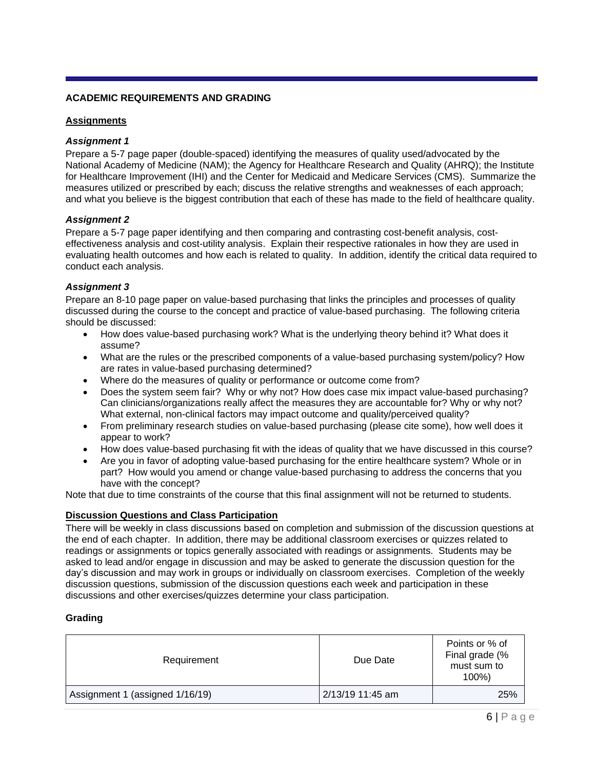## **ACADEMIC REQUIREMENTS AND GRADING**

## **Assignments**

### *Assignment 1*

Prepare a 5-7 page paper (double-spaced) identifying the measures of quality used/advocated by the National Academy of Medicine (NAM); the Agency for Healthcare Research and Quality (AHRQ); the Institute for Healthcare Improvement (IHI) and the Center for Medicaid and Medicare Services (CMS). Summarize the measures utilized or prescribed by each; discuss the relative strengths and weaknesses of each approach; and what you believe is the biggest contribution that each of these has made to the field of healthcare quality.

## *Assignment 2*

Prepare a 5-7 page paper identifying and then comparing and contrasting cost-benefit analysis, costeffectiveness analysis and cost-utility analysis. Explain their respective rationales in how they are used in evaluating health outcomes and how each is related to quality. In addition, identify the critical data required to conduct each analysis.

## *Assignment 3*

Prepare an 8-10 page paper on value-based purchasing that links the principles and processes of quality discussed during the course to the concept and practice of value-based purchasing. The following criteria should be discussed:

- How does value-based purchasing work? What is the underlying theory behind it? What does it assume?
- What are the rules or the prescribed components of a value-based purchasing system/policy? How are rates in value-based purchasing determined?
- Where do the measures of quality or performance or outcome come from?
- Does the system seem fair? Why or why not? How does case mix impact value-based purchasing? Can clinicians/organizations really affect the measures they are accountable for? Why or why not? What external, non-clinical factors may impact outcome and quality/perceived quality?
- From preliminary research studies on value-based purchasing (please cite some), how well does it appear to work?
- How does value-based purchasing fit with the ideas of quality that we have discussed in this course?
- Are you in favor of adopting value-based purchasing for the entire healthcare system? Whole or in part? How would you amend or change value-based purchasing to address the concerns that you have with the concept?

Note that due to time constraints of the course that this final assignment will not be returned to students.

### **Discussion Questions and Class Participation**

There will be weekly in class discussions based on completion and submission of the discussion questions at the end of each chapter. In addition, there may be additional classroom exercises or quizzes related to readings or assignments or topics generally associated with readings or assignments. Students may be asked to lead and/or engage in discussion and may be asked to generate the discussion question for the day's discussion and may work in groups or individually on classroom exercises. Completion of the weekly discussion questions, submission of the discussion questions each week and participation in these discussions and other exercises/quizzes determine your class participation.

### **Grading**

| Requirement                     | Due Date         | Points or % of<br>Final grade (%<br>must sum to<br>$100\%$ |
|---------------------------------|------------------|------------------------------------------------------------|
| Assignment 1 (assigned 1/16/19) | 2/13/19 11:45 am | 25%                                                        |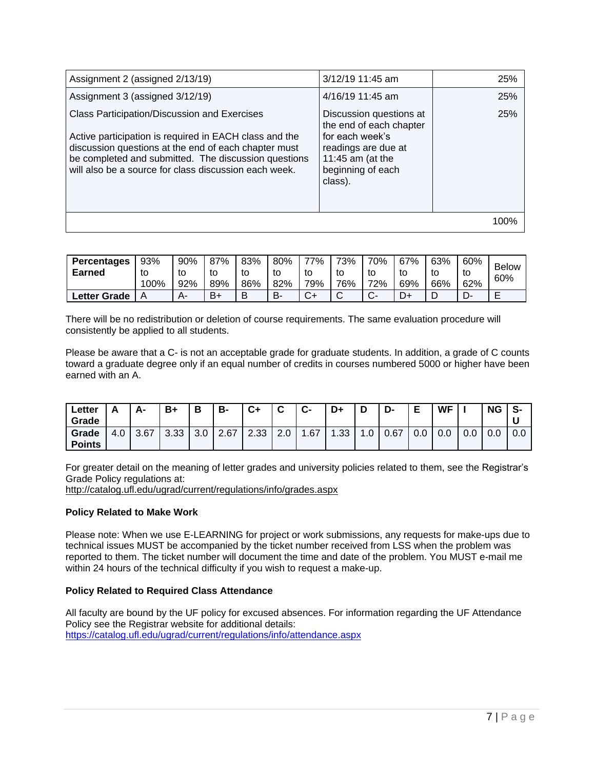| Assignment 2 (assigned 2/13/19)                                                                                                                                                                                                                                                 | 3/12/19 11:45 am                                                                                                                                 | 25%  |
|---------------------------------------------------------------------------------------------------------------------------------------------------------------------------------------------------------------------------------------------------------------------------------|--------------------------------------------------------------------------------------------------------------------------------------------------|------|
| Assignment 3 (assigned 3/12/19)                                                                                                                                                                                                                                                 | 4/16/19 11:45 am                                                                                                                                 | 25%  |
| Class Participation/Discussion and Exercises<br>Active participation is required in EACH class and the<br>discussion questions at the end of each chapter must<br>be completed and submitted. The discussion questions<br>will also be a source for class discussion each week. | Discussion questions at<br>the end of each chapter<br>for each week's<br>readings are due at<br>11:45 am (at the<br>beginning of each<br>class). | 25%  |
|                                                                                                                                                                                                                                                                                 |                                                                                                                                                  | 100% |

| <b>Percentages</b><br><b>Earned</b> | 93%<br>τo<br>100% | 90%<br>tc<br>92% | 87%<br>to<br>89% | 83%<br>to<br>86% | 80%<br>to<br>82% | 77%<br>to<br>79% | 73%<br>to<br>76% | 70%<br>to<br>72% | 67%<br>69% | 63%<br>to<br>66% | 60%<br>to<br>62% | <b>Below</b><br>60% |
|-------------------------------------|-------------------|------------------|------------------|------------------|------------------|------------------|------------------|------------------|------------|------------------|------------------|---------------------|
| Letter Grade                        | Α                 | A٠               | B+               | B                | B-               | $\sim$<br>v+     | $\sim$<br>ັ      | ⌒                |            | ┕                | − ⊃              | −<br>-              |

There will be no redistribution or deletion of course requirements. The same evaluation procedure will consistently be applied to all students.

Please be aware that a C- is not an acceptable grade for graduate students. In addition, a grade of C counts toward a graduate degree only if an equal number of credits in courses numbered 5000 or higher have been earned with an A.

| Letter<br>Grade        | ¬   | А-   | $B+$ | Ð               | B-   | $C+$        | $\sim$<br>u | ◠<br><b>U-</b> | D+      | D   | D-   | E   | <b>WF</b> |     | <b>NG</b> | S-  |
|------------------------|-----|------|------|-----------------|------|-------------|-------------|----------------|---------|-----|------|-----|-----------|-----|-----------|-----|
| Grade<br><b>Points</b> | 4.6 | 3.67 | 3.33 | $\Omega$<br>J.U | 2.67 | ວ ລ<br>ںں.ے | റ റ<br>z.u  | .67            | າາ<br>ں | . ب | 0.67 | 0.0 | 0.0       | U.U | $\sim$    | 0.0 |

For greater detail on the meaning of letter grades and university policies related to them, see the Registrar's Grade Policy regulations at:

<http://catalog.ufl.edu/ugrad/current/regulations/info/grades.aspx>

### **Policy Related to Make Work**

Please note: When we use E-LEARNING for project or work submissions, any requests for make-ups due to technical issues MUST be accompanied by the ticket number received from LSS when the problem was reported to them. The ticket number will document the time and date of the problem. You MUST e-mail me within 24 hours of the technical difficulty if you wish to request a make-up.

# **Policy Related to Required Class Attendance**

All faculty are bound by the UF policy for excused absences. For information regarding the UF Attendance Policy see the Registrar website for additional details: <https://catalog.ufl.edu/ugrad/current/regulations/info/attendance.aspx>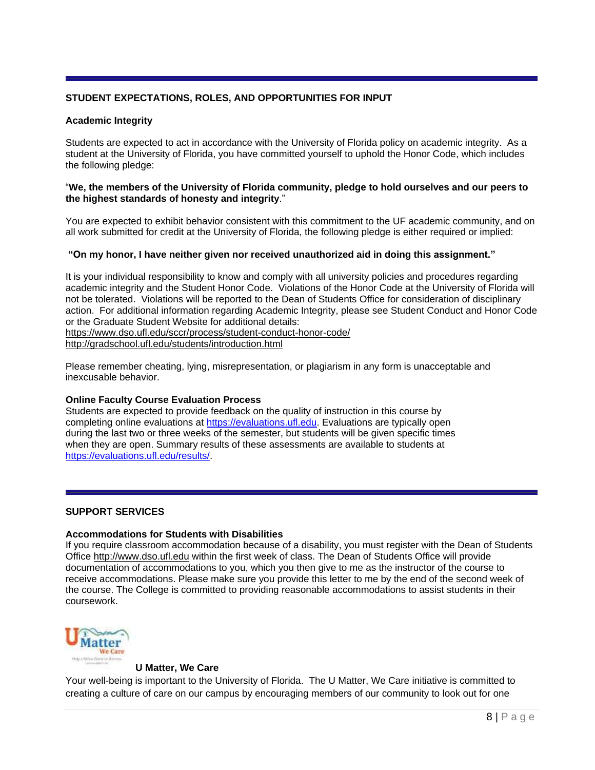# **STUDENT EXPECTATIONS, ROLES, AND OPPORTUNITIES FOR INPUT**

## **Academic Integrity**

Students are expected to act in accordance with the University of Florida policy on academic integrity. As a student at the University of Florida, you have committed yourself to uphold the Honor Code, which includes the following pledge:

### "**We, the members of the University of Florida community, pledge to hold ourselves and our peers to the highest standards of honesty and integrity**."

You are expected to exhibit behavior consistent with this commitment to the UF academic community, and on all work submitted for credit at the University of Florida, the following pledge is either required or implied:

## **"On my honor, I have neither given nor received unauthorized aid in doing this assignment."**

It is your individual responsibility to know and comply with all university policies and procedures regarding academic integrity and the Student Honor Code. Violations of the Honor Code at the University of Florida will not be tolerated. Violations will be reported to the Dean of Students Office for consideration of disciplinary action. For additional information regarding Academic Integrity, please see Student Conduct and Honor Code or the Graduate Student Website for additional details: <https://www.dso.ufl.edu/sccr/process/student-conduct-honor-code/> <http://gradschool.ufl.edu/students/introduction.html>

Please remember cheating, lying, misrepresentation, or plagiarism in any form is unacceptable and inexcusable behavior.

### **Online Faculty Course Evaluation Process**

Students are expected to provide feedback on the quality of instruction in this course by completing online evaluations at [https://evaluations.ufl.edu.](https://evaluations.ufl.edu/) Evaluations are typically open during the last two or three weeks of the semester, but students will be given specific times when they are open. Summary results of these assessments are available to students at [https://evaluations.ufl.edu/results/.](https://evaluations.ufl.edu/results/)

### **SUPPORT SERVICES**

### **Accommodations for Students with Disabilities**

If you require classroom accommodation because of a disability, you must register with the Dean of Students Office [http://www.dso.ufl.edu](http://www.dso.ufl.edu/) within the first week of class. The Dean of Students Office will provide documentation of accommodations to you, which you then give to me as the instructor of the course to receive accommodations. Please make sure you provide this letter to me by the end of the second week of the course. The College is committed to providing reasonable accommodations to assist students in their coursework.



### **U Matter, We Care**

Your well-being is important to the University of Florida. The U Matter, We Care initiative is committed to creating a culture of care on our campus by encouraging members of our community to look out for one